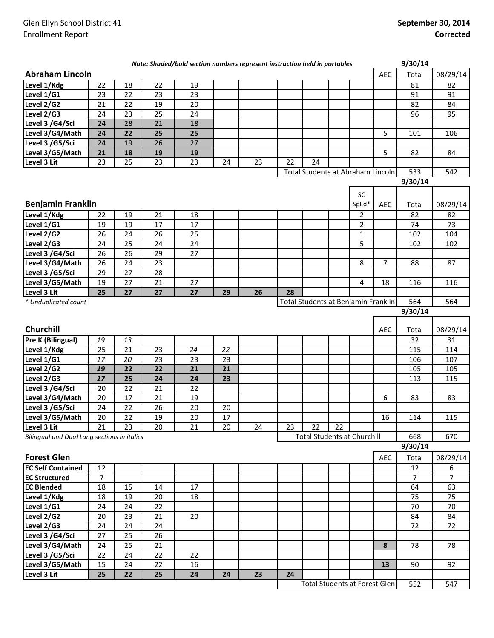| <b>Abraham Lincoln</b><br><b>AEC</b><br>Total<br>Level 1/Kdg<br>22<br>22<br>81<br>82<br>18<br>19<br>Level 1/G1<br>22<br>23<br>23<br>23<br>91<br>91<br>Level 2/G2<br>22<br>19<br>20<br>82<br>84<br>21<br>Level 2/G3<br>24<br>23<br>25<br>24<br>96<br>95<br>Level 3 /G4/Sci<br>28<br>21<br>24<br>18<br>Level 3/G4/Math<br>22<br>25<br>25<br>24<br>5<br>101<br>106<br>Level 3 /G5/Sci<br>24<br>19<br>26<br>27<br>Level 3/G5/Math<br>21<br>18<br>19<br>19<br>5<br>82<br>84<br>Level 3 Lit<br>24<br>23<br>25<br>23<br>23<br>24<br>23<br>22<br>Total Students at Abraham Lincoln<br>533<br>542<br>9/30/14<br><b>SC</b><br><b>Benjamin Franklin</b><br>SpEd*<br>08/29/14<br><b>AEC</b><br>Total<br>Level 1/Kdg<br>21<br>18<br>22<br>19<br>$\overline{2}$<br>82<br>82<br>$\overline{17}$<br>$\overline{17}$<br>$\overline{2}$<br>Level 1/G1<br>19<br>74<br>73<br>19<br>Level 2/G2<br>24<br>26<br>25<br>$\mathbf{1}$<br>102<br>104<br>26<br>5<br>Level 2/G3<br>25<br>24<br>24<br>24<br>102<br>102<br>Level 3 /G4/Sci<br>26<br>29<br>27<br>26<br>$\overline{23}$<br>24<br>8<br>$\overline{7}$<br>Level 3/G4/Math<br>26<br>88<br>87<br>$\overline{27}$<br>$\overline{28}$<br>Level 3 /G5/Sci<br>29<br>27<br>21<br>Level 3/G5/Math<br>19<br>27<br>4<br>18<br>116<br>116<br>28<br>Level 3 Lit<br>25<br>27<br>27<br>27<br>26<br>29<br>Total Students at Benjamin Franklin<br>564<br>564<br>* Unduplicated count<br>9/30/14<br><b>Churchill</b><br><b>AEC</b><br>08/29/14<br>Total<br>Pre K (Bilingual)<br>19<br>13<br>32<br>31<br>21<br>25<br>23<br>24<br>22<br>115<br>114<br>Level 1/Kdg<br>17<br>20<br>23<br>23<br>23<br>Level 1/G1<br>106<br>107<br>22<br>Level 2/G2<br>22<br>21<br>21<br>19<br>105<br>105<br>25<br>Level 2/G3<br>17<br>24<br>24<br>23<br>113<br>115<br>Level 3 / G4/Sci<br>22<br>21<br>22<br>20<br>17<br>19<br>Level 3/G4/Math<br>20<br>21<br>6<br>83<br>83<br>Level 3 /G5/Sci<br>24<br>22<br>26<br>20<br>20<br>$\overline{20}$<br>$\overline{22}$<br>19<br>Level 3/G5/Math<br>$20\,$<br>$17\,$<br>16<br>114<br>115<br>23<br>22<br>22<br>Level 3 Lit<br>21<br>23<br>20<br>21<br>20<br>24<br><b>Total Students at Churchill</b><br>Bilingual and Dual Lang sections in italics<br>668<br>670<br>9/30/14<br><b>Forest Glen</b><br><b>AEC</b><br>Total<br>08/29/14<br><b>EC Self Contained</b><br>12<br>12<br>6<br><b>EC Structured</b><br>$\overline{7}$<br>$\overline{7}$<br>$\overline{7}$<br><b>EC Blended</b><br>18<br>15<br>64<br>14<br>17<br>63<br>Level 1/Kdg<br>18<br>19<br>20<br>75<br>75<br>18<br>Level 1/G1<br>24<br>24<br>22<br>70<br>70<br>Level 2/G2<br>20<br>23<br>21<br>20<br>84<br>84<br>Level 2/G3<br>24<br>24<br>24<br>72<br>72<br>Level 3 /G4/Sci<br>26<br>27<br>25<br>Level 3/G4/Math<br>25<br>21<br>8<br>24<br>78<br>78<br>Level 3 /G5/Sci<br>22<br>24<br>22<br>22<br>Level 3/G5/Math<br>15<br>24<br>22<br>16<br>13<br>90<br>92<br>Level 3 Lit<br>25<br>22<br>25<br>24<br>24<br>24<br>23<br>Total Students at Forest Glen<br>552<br>547 |  |  | Note: Shaded/bold section numbers represent instruction held in portables |  |  |  | 9/30/14 |          |
|-------------------------------------------------------------------------------------------------------------------------------------------------------------------------------------------------------------------------------------------------------------------------------------------------------------------------------------------------------------------------------------------------------------------------------------------------------------------------------------------------------------------------------------------------------------------------------------------------------------------------------------------------------------------------------------------------------------------------------------------------------------------------------------------------------------------------------------------------------------------------------------------------------------------------------------------------------------------------------------------------------------------------------------------------------------------------------------------------------------------------------------------------------------------------------------------------------------------------------------------------------------------------------------------------------------------------------------------------------------------------------------------------------------------------------------------------------------------------------------------------------------------------------------------------------------------------------------------------------------------------------------------------------------------------------------------------------------------------------------------------------------------------------------------------------------------------------------------------------------------------------------------------------------------------------------------------------------------------------------------------------------------------------------------------------------------------------------------------------------------------------------------------------------------------------------------------------------------------------------------------------------------------------------------------------------------------------------------------------------------------------------------------------------------------------------------------------------------------------------------------------------------------------------------------------------------------------------------------------------------------------------------------------------------------------------------------------------------------------------------------------------------------------------------------------------------------------------------------------------------------------------------------------------------------------------------------------------------|--|--|---------------------------------------------------------------------------|--|--|--|---------|----------|
|                                                                                                                                                                                                                                                                                                                                                                                                                                                                                                                                                                                                                                                                                                                                                                                                                                                                                                                                                                                                                                                                                                                                                                                                                                                                                                                                                                                                                                                                                                                                                                                                                                                                                                                                                                                                                                                                                                                                                                                                                                                                                                                                                                                                                                                                                                                                                                                                                                                                                                                                                                                                                                                                                                                                                                                                                                                                                                                                                                   |  |  |                                                                           |  |  |  |         | 08/29/14 |
|                                                                                                                                                                                                                                                                                                                                                                                                                                                                                                                                                                                                                                                                                                                                                                                                                                                                                                                                                                                                                                                                                                                                                                                                                                                                                                                                                                                                                                                                                                                                                                                                                                                                                                                                                                                                                                                                                                                                                                                                                                                                                                                                                                                                                                                                                                                                                                                                                                                                                                                                                                                                                                                                                                                                                                                                                                                                                                                                                                   |  |  |                                                                           |  |  |  |         |          |
|                                                                                                                                                                                                                                                                                                                                                                                                                                                                                                                                                                                                                                                                                                                                                                                                                                                                                                                                                                                                                                                                                                                                                                                                                                                                                                                                                                                                                                                                                                                                                                                                                                                                                                                                                                                                                                                                                                                                                                                                                                                                                                                                                                                                                                                                                                                                                                                                                                                                                                                                                                                                                                                                                                                                                                                                                                                                                                                                                                   |  |  |                                                                           |  |  |  |         |          |
|                                                                                                                                                                                                                                                                                                                                                                                                                                                                                                                                                                                                                                                                                                                                                                                                                                                                                                                                                                                                                                                                                                                                                                                                                                                                                                                                                                                                                                                                                                                                                                                                                                                                                                                                                                                                                                                                                                                                                                                                                                                                                                                                                                                                                                                                                                                                                                                                                                                                                                                                                                                                                                                                                                                                                                                                                                                                                                                                                                   |  |  |                                                                           |  |  |  |         |          |
|                                                                                                                                                                                                                                                                                                                                                                                                                                                                                                                                                                                                                                                                                                                                                                                                                                                                                                                                                                                                                                                                                                                                                                                                                                                                                                                                                                                                                                                                                                                                                                                                                                                                                                                                                                                                                                                                                                                                                                                                                                                                                                                                                                                                                                                                                                                                                                                                                                                                                                                                                                                                                                                                                                                                                                                                                                                                                                                                                                   |  |  |                                                                           |  |  |  |         |          |
|                                                                                                                                                                                                                                                                                                                                                                                                                                                                                                                                                                                                                                                                                                                                                                                                                                                                                                                                                                                                                                                                                                                                                                                                                                                                                                                                                                                                                                                                                                                                                                                                                                                                                                                                                                                                                                                                                                                                                                                                                                                                                                                                                                                                                                                                                                                                                                                                                                                                                                                                                                                                                                                                                                                                                                                                                                                                                                                                                                   |  |  |                                                                           |  |  |  |         |          |
|                                                                                                                                                                                                                                                                                                                                                                                                                                                                                                                                                                                                                                                                                                                                                                                                                                                                                                                                                                                                                                                                                                                                                                                                                                                                                                                                                                                                                                                                                                                                                                                                                                                                                                                                                                                                                                                                                                                                                                                                                                                                                                                                                                                                                                                                                                                                                                                                                                                                                                                                                                                                                                                                                                                                                                                                                                                                                                                                                                   |  |  |                                                                           |  |  |  |         |          |
|                                                                                                                                                                                                                                                                                                                                                                                                                                                                                                                                                                                                                                                                                                                                                                                                                                                                                                                                                                                                                                                                                                                                                                                                                                                                                                                                                                                                                                                                                                                                                                                                                                                                                                                                                                                                                                                                                                                                                                                                                                                                                                                                                                                                                                                                                                                                                                                                                                                                                                                                                                                                                                                                                                                                                                                                                                                                                                                                                                   |  |  |                                                                           |  |  |  |         |          |
|                                                                                                                                                                                                                                                                                                                                                                                                                                                                                                                                                                                                                                                                                                                                                                                                                                                                                                                                                                                                                                                                                                                                                                                                                                                                                                                                                                                                                                                                                                                                                                                                                                                                                                                                                                                                                                                                                                                                                                                                                                                                                                                                                                                                                                                                                                                                                                                                                                                                                                                                                                                                                                                                                                                                                                                                                                                                                                                                                                   |  |  |                                                                           |  |  |  |         |          |
|                                                                                                                                                                                                                                                                                                                                                                                                                                                                                                                                                                                                                                                                                                                                                                                                                                                                                                                                                                                                                                                                                                                                                                                                                                                                                                                                                                                                                                                                                                                                                                                                                                                                                                                                                                                                                                                                                                                                                                                                                                                                                                                                                                                                                                                                                                                                                                                                                                                                                                                                                                                                                                                                                                                                                                                                                                                                                                                                                                   |  |  |                                                                           |  |  |  |         |          |
|                                                                                                                                                                                                                                                                                                                                                                                                                                                                                                                                                                                                                                                                                                                                                                                                                                                                                                                                                                                                                                                                                                                                                                                                                                                                                                                                                                                                                                                                                                                                                                                                                                                                                                                                                                                                                                                                                                                                                                                                                                                                                                                                                                                                                                                                                                                                                                                                                                                                                                                                                                                                                                                                                                                                                                                                                                                                                                                                                                   |  |  |                                                                           |  |  |  |         |          |
|                                                                                                                                                                                                                                                                                                                                                                                                                                                                                                                                                                                                                                                                                                                                                                                                                                                                                                                                                                                                                                                                                                                                                                                                                                                                                                                                                                                                                                                                                                                                                                                                                                                                                                                                                                                                                                                                                                                                                                                                                                                                                                                                                                                                                                                                                                                                                                                                                                                                                                                                                                                                                                                                                                                                                                                                                                                                                                                                                                   |  |  |                                                                           |  |  |  |         |          |
|                                                                                                                                                                                                                                                                                                                                                                                                                                                                                                                                                                                                                                                                                                                                                                                                                                                                                                                                                                                                                                                                                                                                                                                                                                                                                                                                                                                                                                                                                                                                                                                                                                                                                                                                                                                                                                                                                                                                                                                                                                                                                                                                                                                                                                                                                                                                                                                                                                                                                                                                                                                                                                                                                                                                                                                                                                                                                                                                                                   |  |  |                                                                           |  |  |  |         |          |
|                                                                                                                                                                                                                                                                                                                                                                                                                                                                                                                                                                                                                                                                                                                                                                                                                                                                                                                                                                                                                                                                                                                                                                                                                                                                                                                                                                                                                                                                                                                                                                                                                                                                                                                                                                                                                                                                                                                                                                                                                                                                                                                                                                                                                                                                                                                                                                                                                                                                                                                                                                                                                                                                                                                                                                                                                                                                                                                                                                   |  |  |                                                                           |  |  |  |         |          |
|                                                                                                                                                                                                                                                                                                                                                                                                                                                                                                                                                                                                                                                                                                                                                                                                                                                                                                                                                                                                                                                                                                                                                                                                                                                                                                                                                                                                                                                                                                                                                                                                                                                                                                                                                                                                                                                                                                                                                                                                                                                                                                                                                                                                                                                                                                                                                                                                                                                                                                                                                                                                                                                                                                                                                                                                                                                                                                                                                                   |  |  |                                                                           |  |  |  |         |          |
|                                                                                                                                                                                                                                                                                                                                                                                                                                                                                                                                                                                                                                                                                                                                                                                                                                                                                                                                                                                                                                                                                                                                                                                                                                                                                                                                                                                                                                                                                                                                                                                                                                                                                                                                                                                                                                                                                                                                                                                                                                                                                                                                                                                                                                                                                                                                                                                                                                                                                                                                                                                                                                                                                                                                                                                                                                                                                                                                                                   |  |  |                                                                           |  |  |  |         |          |
|                                                                                                                                                                                                                                                                                                                                                                                                                                                                                                                                                                                                                                                                                                                                                                                                                                                                                                                                                                                                                                                                                                                                                                                                                                                                                                                                                                                                                                                                                                                                                                                                                                                                                                                                                                                                                                                                                                                                                                                                                                                                                                                                                                                                                                                                                                                                                                                                                                                                                                                                                                                                                                                                                                                                                                                                                                                                                                                                                                   |  |  |                                                                           |  |  |  |         |          |
|                                                                                                                                                                                                                                                                                                                                                                                                                                                                                                                                                                                                                                                                                                                                                                                                                                                                                                                                                                                                                                                                                                                                                                                                                                                                                                                                                                                                                                                                                                                                                                                                                                                                                                                                                                                                                                                                                                                                                                                                                                                                                                                                                                                                                                                                                                                                                                                                                                                                                                                                                                                                                                                                                                                                                                                                                                                                                                                                                                   |  |  |                                                                           |  |  |  |         |          |
|                                                                                                                                                                                                                                                                                                                                                                                                                                                                                                                                                                                                                                                                                                                                                                                                                                                                                                                                                                                                                                                                                                                                                                                                                                                                                                                                                                                                                                                                                                                                                                                                                                                                                                                                                                                                                                                                                                                                                                                                                                                                                                                                                                                                                                                                                                                                                                                                                                                                                                                                                                                                                                                                                                                                                                                                                                                                                                                                                                   |  |  |                                                                           |  |  |  |         |          |
|                                                                                                                                                                                                                                                                                                                                                                                                                                                                                                                                                                                                                                                                                                                                                                                                                                                                                                                                                                                                                                                                                                                                                                                                                                                                                                                                                                                                                                                                                                                                                                                                                                                                                                                                                                                                                                                                                                                                                                                                                                                                                                                                                                                                                                                                                                                                                                                                                                                                                                                                                                                                                                                                                                                                                                                                                                                                                                                                                                   |  |  |                                                                           |  |  |  |         |          |
|                                                                                                                                                                                                                                                                                                                                                                                                                                                                                                                                                                                                                                                                                                                                                                                                                                                                                                                                                                                                                                                                                                                                                                                                                                                                                                                                                                                                                                                                                                                                                                                                                                                                                                                                                                                                                                                                                                                                                                                                                                                                                                                                                                                                                                                                                                                                                                                                                                                                                                                                                                                                                                                                                                                                                                                                                                                                                                                                                                   |  |  |                                                                           |  |  |  |         |          |
|                                                                                                                                                                                                                                                                                                                                                                                                                                                                                                                                                                                                                                                                                                                                                                                                                                                                                                                                                                                                                                                                                                                                                                                                                                                                                                                                                                                                                                                                                                                                                                                                                                                                                                                                                                                                                                                                                                                                                                                                                                                                                                                                                                                                                                                                                                                                                                                                                                                                                                                                                                                                                                                                                                                                                                                                                                                                                                                                                                   |  |  |                                                                           |  |  |  |         |          |
|                                                                                                                                                                                                                                                                                                                                                                                                                                                                                                                                                                                                                                                                                                                                                                                                                                                                                                                                                                                                                                                                                                                                                                                                                                                                                                                                                                                                                                                                                                                                                                                                                                                                                                                                                                                                                                                                                                                                                                                                                                                                                                                                                                                                                                                                                                                                                                                                                                                                                                                                                                                                                                                                                                                                                                                                                                                                                                                                                                   |  |  |                                                                           |  |  |  |         |          |
|                                                                                                                                                                                                                                                                                                                                                                                                                                                                                                                                                                                                                                                                                                                                                                                                                                                                                                                                                                                                                                                                                                                                                                                                                                                                                                                                                                                                                                                                                                                                                                                                                                                                                                                                                                                                                                                                                                                                                                                                                                                                                                                                                                                                                                                                                                                                                                                                                                                                                                                                                                                                                                                                                                                                                                                                                                                                                                                                                                   |  |  |                                                                           |  |  |  |         |          |
|                                                                                                                                                                                                                                                                                                                                                                                                                                                                                                                                                                                                                                                                                                                                                                                                                                                                                                                                                                                                                                                                                                                                                                                                                                                                                                                                                                                                                                                                                                                                                                                                                                                                                                                                                                                                                                                                                                                                                                                                                                                                                                                                                                                                                                                                                                                                                                                                                                                                                                                                                                                                                                                                                                                                                                                                                                                                                                                                                                   |  |  |                                                                           |  |  |  |         |          |
|                                                                                                                                                                                                                                                                                                                                                                                                                                                                                                                                                                                                                                                                                                                                                                                                                                                                                                                                                                                                                                                                                                                                                                                                                                                                                                                                                                                                                                                                                                                                                                                                                                                                                                                                                                                                                                                                                                                                                                                                                                                                                                                                                                                                                                                                                                                                                                                                                                                                                                                                                                                                                                                                                                                                                                                                                                                                                                                                                                   |  |  |                                                                           |  |  |  |         |          |
|                                                                                                                                                                                                                                                                                                                                                                                                                                                                                                                                                                                                                                                                                                                                                                                                                                                                                                                                                                                                                                                                                                                                                                                                                                                                                                                                                                                                                                                                                                                                                                                                                                                                                                                                                                                                                                                                                                                                                                                                                                                                                                                                                                                                                                                                                                                                                                                                                                                                                                                                                                                                                                                                                                                                                                                                                                                                                                                                                                   |  |  |                                                                           |  |  |  |         |          |
|                                                                                                                                                                                                                                                                                                                                                                                                                                                                                                                                                                                                                                                                                                                                                                                                                                                                                                                                                                                                                                                                                                                                                                                                                                                                                                                                                                                                                                                                                                                                                                                                                                                                                                                                                                                                                                                                                                                                                                                                                                                                                                                                                                                                                                                                                                                                                                                                                                                                                                                                                                                                                                                                                                                                                                                                                                                                                                                                                                   |  |  |                                                                           |  |  |  |         |          |
|                                                                                                                                                                                                                                                                                                                                                                                                                                                                                                                                                                                                                                                                                                                                                                                                                                                                                                                                                                                                                                                                                                                                                                                                                                                                                                                                                                                                                                                                                                                                                                                                                                                                                                                                                                                                                                                                                                                                                                                                                                                                                                                                                                                                                                                                                                                                                                                                                                                                                                                                                                                                                                                                                                                                                                                                                                                                                                                                                                   |  |  |                                                                           |  |  |  |         |          |
|                                                                                                                                                                                                                                                                                                                                                                                                                                                                                                                                                                                                                                                                                                                                                                                                                                                                                                                                                                                                                                                                                                                                                                                                                                                                                                                                                                                                                                                                                                                                                                                                                                                                                                                                                                                                                                                                                                                                                                                                                                                                                                                                                                                                                                                                                                                                                                                                                                                                                                                                                                                                                                                                                                                                                                                                                                                                                                                                                                   |  |  |                                                                           |  |  |  |         |          |
|                                                                                                                                                                                                                                                                                                                                                                                                                                                                                                                                                                                                                                                                                                                                                                                                                                                                                                                                                                                                                                                                                                                                                                                                                                                                                                                                                                                                                                                                                                                                                                                                                                                                                                                                                                                                                                                                                                                                                                                                                                                                                                                                                                                                                                                                                                                                                                                                                                                                                                                                                                                                                                                                                                                                                                                                                                                                                                                                                                   |  |  |                                                                           |  |  |  |         |          |
|                                                                                                                                                                                                                                                                                                                                                                                                                                                                                                                                                                                                                                                                                                                                                                                                                                                                                                                                                                                                                                                                                                                                                                                                                                                                                                                                                                                                                                                                                                                                                                                                                                                                                                                                                                                                                                                                                                                                                                                                                                                                                                                                                                                                                                                                                                                                                                                                                                                                                                                                                                                                                                                                                                                                                                                                                                                                                                                                                                   |  |  |                                                                           |  |  |  |         |          |
|                                                                                                                                                                                                                                                                                                                                                                                                                                                                                                                                                                                                                                                                                                                                                                                                                                                                                                                                                                                                                                                                                                                                                                                                                                                                                                                                                                                                                                                                                                                                                                                                                                                                                                                                                                                                                                                                                                                                                                                                                                                                                                                                                                                                                                                                                                                                                                                                                                                                                                                                                                                                                                                                                                                                                                                                                                                                                                                                                                   |  |  |                                                                           |  |  |  |         |          |
|                                                                                                                                                                                                                                                                                                                                                                                                                                                                                                                                                                                                                                                                                                                                                                                                                                                                                                                                                                                                                                                                                                                                                                                                                                                                                                                                                                                                                                                                                                                                                                                                                                                                                                                                                                                                                                                                                                                                                                                                                                                                                                                                                                                                                                                                                                                                                                                                                                                                                                                                                                                                                                                                                                                                                                                                                                                                                                                                                                   |  |  |                                                                           |  |  |  |         |          |
|                                                                                                                                                                                                                                                                                                                                                                                                                                                                                                                                                                                                                                                                                                                                                                                                                                                                                                                                                                                                                                                                                                                                                                                                                                                                                                                                                                                                                                                                                                                                                                                                                                                                                                                                                                                                                                                                                                                                                                                                                                                                                                                                                                                                                                                                                                                                                                                                                                                                                                                                                                                                                                                                                                                                                                                                                                                                                                                                                                   |  |  |                                                                           |  |  |  |         |          |
|                                                                                                                                                                                                                                                                                                                                                                                                                                                                                                                                                                                                                                                                                                                                                                                                                                                                                                                                                                                                                                                                                                                                                                                                                                                                                                                                                                                                                                                                                                                                                                                                                                                                                                                                                                                                                                                                                                                                                                                                                                                                                                                                                                                                                                                                                                                                                                                                                                                                                                                                                                                                                                                                                                                                                                                                                                                                                                                                                                   |  |  |                                                                           |  |  |  |         |          |
|                                                                                                                                                                                                                                                                                                                                                                                                                                                                                                                                                                                                                                                                                                                                                                                                                                                                                                                                                                                                                                                                                                                                                                                                                                                                                                                                                                                                                                                                                                                                                                                                                                                                                                                                                                                                                                                                                                                                                                                                                                                                                                                                                                                                                                                                                                                                                                                                                                                                                                                                                                                                                                                                                                                                                                                                                                                                                                                                                                   |  |  |                                                                           |  |  |  |         |          |
|                                                                                                                                                                                                                                                                                                                                                                                                                                                                                                                                                                                                                                                                                                                                                                                                                                                                                                                                                                                                                                                                                                                                                                                                                                                                                                                                                                                                                                                                                                                                                                                                                                                                                                                                                                                                                                                                                                                                                                                                                                                                                                                                                                                                                                                                                                                                                                                                                                                                                                                                                                                                                                                                                                                                                                                                                                                                                                                                                                   |  |  |                                                                           |  |  |  |         |          |
|                                                                                                                                                                                                                                                                                                                                                                                                                                                                                                                                                                                                                                                                                                                                                                                                                                                                                                                                                                                                                                                                                                                                                                                                                                                                                                                                                                                                                                                                                                                                                                                                                                                                                                                                                                                                                                                                                                                                                                                                                                                                                                                                                                                                                                                                                                                                                                                                                                                                                                                                                                                                                                                                                                                                                                                                                                                                                                                                                                   |  |  |                                                                           |  |  |  |         |          |
|                                                                                                                                                                                                                                                                                                                                                                                                                                                                                                                                                                                                                                                                                                                                                                                                                                                                                                                                                                                                                                                                                                                                                                                                                                                                                                                                                                                                                                                                                                                                                                                                                                                                                                                                                                                                                                                                                                                                                                                                                                                                                                                                                                                                                                                                                                                                                                                                                                                                                                                                                                                                                                                                                                                                                                                                                                                                                                                                                                   |  |  |                                                                           |  |  |  |         |          |
|                                                                                                                                                                                                                                                                                                                                                                                                                                                                                                                                                                                                                                                                                                                                                                                                                                                                                                                                                                                                                                                                                                                                                                                                                                                                                                                                                                                                                                                                                                                                                                                                                                                                                                                                                                                                                                                                                                                                                                                                                                                                                                                                                                                                                                                                                                                                                                                                                                                                                                                                                                                                                                                                                                                                                                                                                                                                                                                                                                   |  |  |                                                                           |  |  |  |         |          |
|                                                                                                                                                                                                                                                                                                                                                                                                                                                                                                                                                                                                                                                                                                                                                                                                                                                                                                                                                                                                                                                                                                                                                                                                                                                                                                                                                                                                                                                                                                                                                                                                                                                                                                                                                                                                                                                                                                                                                                                                                                                                                                                                                                                                                                                                                                                                                                                                                                                                                                                                                                                                                                                                                                                                                                                                                                                                                                                                                                   |  |  |                                                                           |  |  |  |         |          |
|                                                                                                                                                                                                                                                                                                                                                                                                                                                                                                                                                                                                                                                                                                                                                                                                                                                                                                                                                                                                                                                                                                                                                                                                                                                                                                                                                                                                                                                                                                                                                                                                                                                                                                                                                                                                                                                                                                                                                                                                                                                                                                                                                                                                                                                                                                                                                                                                                                                                                                                                                                                                                                                                                                                                                                                                                                                                                                                                                                   |  |  |                                                                           |  |  |  |         |          |
|                                                                                                                                                                                                                                                                                                                                                                                                                                                                                                                                                                                                                                                                                                                                                                                                                                                                                                                                                                                                                                                                                                                                                                                                                                                                                                                                                                                                                                                                                                                                                                                                                                                                                                                                                                                                                                                                                                                                                                                                                                                                                                                                                                                                                                                                                                                                                                                                                                                                                                                                                                                                                                                                                                                                                                                                                                                                                                                                                                   |  |  |                                                                           |  |  |  |         |          |
|                                                                                                                                                                                                                                                                                                                                                                                                                                                                                                                                                                                                                                                                                                                                                                                                                                                                                                                                                                                                                                                                                                                                                                                                                                                                                                                                                                                                                                                                                                                                                                                                                                                                                                                                                                                                                                                                                                                                                                                                                                                                                                                                                                                                                                                                                                                                                                                                                                                                                                                                                                                                                                                                                                                                                                                                                                                                                                                                                                   |  |  |                                                                           |  |  |  |         |          |
|                                                                                                                                                                                                                                                                                                                                                                                                                                                                                                                                                                                                                                                                                                                                                                                                                                                                                                                                                                                                                                                                                                                                                                                                                                                                                                                                                                                                                                                                                                                                                                                                                                                                                                                                                                                                                                                                                                                                                                                                                                                                                                                                                                                                                                                                                                                                                                                                                                                                                                                                                                                                                                                                                                                                                                                                                                                                                                                                                                   |  |  |                                                                           |  |  |  |         |          |
|                                                                                                                                                                                                                                                                                                                                                                                                                                                                                                                                                                                                                                                                                                                                                                                                                                                                                                                                                                                                                                                                                                                                                                                                                                                                                                                                                                                                                                                                                                                                                                                                                                                                                                                                                                                                                                                                                                                                                                                                                                                                                                                                                                                                                                                                                                                                                                                                                                                                                                                                                                                                                                                                                                                                                                                                                                                                                                                                                                   |  |  |                                                                           |  |  |  |         |          |
|                                                                                                                                                                                                                                                                                                                                                                                                                                                                                                                                                                                                                                                                                                                                                                                                                                                                                                                                                                                                                                                                                                                                                                                                                                                                                                                                                                                                                                                                                                                                                                                                                                                                                                                                                                                                                                                                                                                                                                                                                                                                                                                                                                                                                                                                                                                                                                                                                                                                                                                                                                                                                                                                                                                                                                                                                                                                                                                                                                   |  |  |                                                                           |  |  |  |         |          |
|                                                                                                                                                                                                                                                                                                                                                                                                                                                                                                                                                                                                                                                                                                                                                                                                                                                                                                                                                                                                                                                                                                                                                                                                                                                                                                                                                                                                                                                                                                                                                                                                                                                                                                                                                                                                                                                                                                                                                                                                                                                                                                                                                                                                                                                                                                                                                                                                                                                                                                                                                                                                                                                                                                                                                                                                                                                                                                                                                                   |  |  |                                                                           |  |  |  |         |          |
|                                                                                                                                                                                                                                                                                                                                                                                                                                                                                                                                                                                                                                                                                                                                                                                                                                                                                                                                                                                                                                                                                                                                                                                                                                                                                                                                                                                                                                                                                                                                                                                                                                                                                                                                                                                                                                                                                                                                                                                                                                                                                                                                                                                                                                                                                                                                                                                                                                                                                                                                                                                                                                                                                                                                                                                                                                                                                                                                                                   |  |  |                                                                           |  |  |  |         |          |
|                                                                                                                                                                                                                                                                                                                                                                                                                                                                                                                                                                                                                                                                                                                                                                                                                                                                                                                                                                                                                                                                                                                                                                                                                                                                                                                                                                                                                                                                                                                                                                                                                                                                                                                                                                                                                                                                                                                                                                                                                                                                                                                                                                                                                                                                                                                                                                                                                                                                                                                                                                                                                                                                                                                                                                                                                                                                                                                                                                   |  |  |                                                                           |  |  |  |         |          |
|                                                                                                                                                                                                                                                                                                                                                                                                                                                                                                                                                                                                                                                                                                                                                                                                                                                                                                                                                                                                                                                                                                                                                                                                                                                                                                                                                                                                                                                                                                                                                                                                                                                                                                                                                                                                                                                                                                                                                                                                                                                                                                                                                                                                                                                                                                                                                                                                                                                                                                                                                                                                                                                                                                                                                                                                                                                                                                                                                                   |  |  |                                                                           |  |  |  |         |          |
|                                                                                                                                                                                                                                                                                                                                                                                                                                                                                                                                                                                                                                                                                                                                                                                                                                                                                                                                                                                                                                                                                                                                                                                                                                                                                                                                                                                                                                                                                                                                                                                                                                                                                                                                                                                                                                                                                                                                                                                                                                                                                                                                                                                                                                                                                                                                                                                                                                                                                                                                                                                                                                                                                                                                                                                                                                                                                                                                                                   |  |  |                                                                           |  |  |  |         |          |